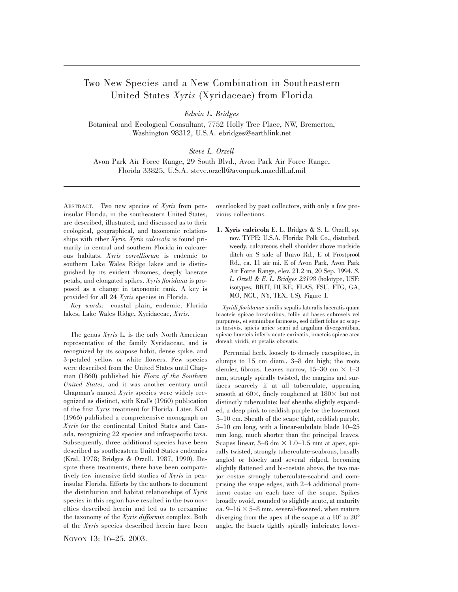## Two New Species and a New Combination in Southeastern United States *Xyris* (Xyridaceae) from Florida

*Edwin L. Bridges*

Botanical and Ecological Consultant, 7752 Holly Tree Place, NW, Bremerton, Washington 98312, U.S.A. ebridges@earthlink.net

## *Steve L. Orzell*

Avon Park Air Force Range, 29 South Blvd., Avon Park Air Force Range, Florida 33825, U.S.A. steve.orzell@avonpark.macdill.af.mil

ABSTRACT. Two new species of *Xyris* from peninsular Florida, in the southeastern United States, are described, illustrated, and discussed as to their ecological, geographical, and taxonomic relationships with other *Xyris. Xyris calcicola* is found primarily in central and southern Florida in calcareous habitats. *Xyris correlliorum* is endemic to southern Lake Wales Ridge lakes and is distinguished by its evident rhizomes, deeply lacerate petals, and elongated spikes. *Xyris floridana* is proposed as a change in taxonomic rank. A key is provided for all 24 *Xyris* species in Florida.

*Key words:* coastal plain, endemic, Florida lakes, Lake Wales Ridge, Xyridaceae, *Xyris.*

The genus *Xyris* L. is the only North American representative of the family Xyridaceae, and is recognized by its scapose habit, dense spike, and 3-petaled yellow or white flowers. Few species were described from the United States until Chapman (1860) published his *Flora of the Southern United States,* and it was another century until Chapman's named *Xyris* species were widely recognized as distinct, with Kral's (1960) publication of the first *Xyris* treatment for Florida. Later, Kral (1966) published a comprehensive monograph on *Xyris* for the continental United States and Canada, recognizing 22 species and infraspecific taxa. Subsequently, three additional species have been described as southeastern United States endemics (Kral, 1978; Bridges & Orzell, 1987, 1990). Despite these treatments, there have been comparatively few intensive field studies of *Xyris* in peninsular Florida. Efforts by the authors to document the distribution and habitat relationships of *Xyris* species in this region have resulted in the two novelties described herein and led us to reexamine the taxonomy of the *Xyris difformis* complex. Both of the *Xyris* species described herein have been

NOVON 13: 16–25. 2003.

overlooked by past collectors, with only a few previous collections.

**1. Xyris calcicola** E. L. Bridges & S. L. Orzell, sp. nov. TYPE: U.S.A. Florida: Polk Co., disturbed, weedy, calcareous shell shoulder above roadside ditch on S side of Bravo Rd., E of Frostproof Rd., ca. 11 air mi. E of Avon Park, Avon Park Air Force Range, elev. 21.2 m, 20 Sep. 1994, *S. L. Orzell & E. L. Bridges 23198* (holotype, USF; isotypes, BRIT, DUKE, FLAS, FSU, FTG, GA, MO, NCU, NY, TEX, US). Figure 1.

*Xyridi floridanae* similis sepalis lateralis laceratis quam bracteis spicae brevioribus, foliis ad bases subroseis vel purpureis, et seminibus farinosis, sed differt foliis ac scapis torsivis, spicis apice scapi ad angulum divergentibus, spicae bracteis inferis acute carinatis, bracteis spicae area dorsali viridi, et petalis obovatis.

Perennial herb, loosely to densely caespitose, in clumps to 15 cm diam., 3–8 dm high; the roots slender, fibrous. Leaves narrow, 15-30 cm  $\times$  1-3 mm, strongly spirally twisted, the margins and surfaces scarcely if at all tuberculate, appearing smooth at  $60\times$ , finely roughened at  $180\times$  but not distinctly tuberculate; leaf sheaths slightly expanded, a deep pink to reddish purple for the lowermost 5–10 cm. Sheath of the scape tight, reddish purple, 5–10 cm long, with a linear-subulate blade 10–25 mm long, much shorter than the principal leaves. Scapes linear,  $3-8 \text{ dm} \times 1.0-1.5 \text{ mm}$  at apex, spirally twisted, strongly tuberculate-scabrous, basally angled or blocky and several ridged, becoming slightly flattened and bi-costate above, the two major costae strongly tuberculate-scabrid and comprising the scape edges, with 2–4 additional prominent costae on each face of the scape. Spikes broadly ovoid, rounded to slightly acute, at maturity ca.  $9-16 \times 5-8$  mm, several-flowered, when mature diverging from the apex of the scape at a  $10^{\circ}$  to  $20^{\circ}$ angle, the bracts tightly spirally imbricate; lower-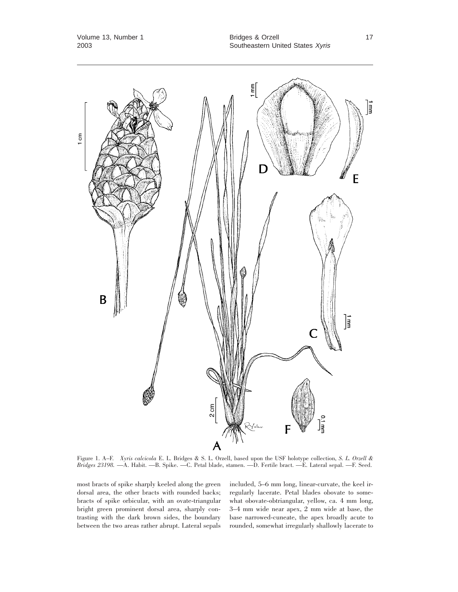

Figure 1. A–F. *Xyris calcicola* E. L. Bridges & S. L. Orzell, based upon the USF holotype collection, *S. L. Orzell & Bridges 23198.* —A. Habit. —B. Spike. —C. Petal blade, stamen. —D. Fertile bract. —E. Lateral sepal. —F. Seed.

most bracts of spike sharply keeled along the green dorsal area, the other bracts with rounded backs; bracts of spike orbicular, with an ovate-triangular bright green prominent dorsal area, sharply contrasting with the dark brown sides, the boundary between the two areas rather abrupt. Lateral sepals included, 5–6 mm long, linear-curvate, the keel irregularly lacerate. Petal blades obovate to somewhat obovate-obtriangular, yellow, ca. 4 mm long, 3–4 mm wide near apex, 2 mm wide at base, the base narrowed-cuneate, the apex broadly acute to rounded, somewhat irregularly shallowly lacerate to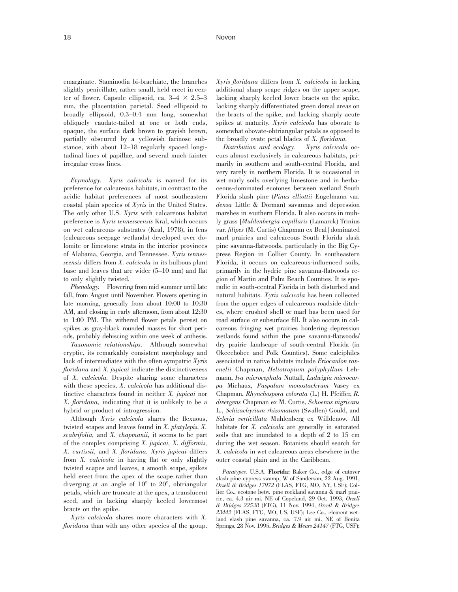emarginate. Staminodia bi-brachiate, the branches slightly penicillate, rather small, held erect in center of flower. Capsule ellipsoid, ca.  $3-4 \times 2.5-3$ mm, the placentation parietal. Seed ellipsoid to broadly ellipsoid, 0.3–0.4 mm long, somewhat obliquely caudate-tailed at one or both ends, opaque, the surface dark brown to grayish brown, partially obscured by a yellowish farinose substance, with about 12–18 regularly spaced longitudinal lines of papillae, and several much fainter irregular cross lines.

*Etymology. Xyris calcicola* is named for its preference for calcareous habitats, in contrast to the acidic habitat preferences of most southeastern coastal plain species of *Xyris* in the United States. The only other U.S. *Xyris* with calcareous habitat preference is *Xyris tennesseensis* Kral, which occurs on wet calcareous substrates (Kral, 1978), in fens (calcareous seepage wetlands) developed over dolomite or limestone strata in the interior provinces of Alabama, Georgia, and Tennessee. *Xyris tennesseensis* differs from *X. calcicola* in its bulbous plant base and leaves that are wider (5–10 mm) and flat to only slightly twisted.

*Phenology.* Flowering from mid summer until late fall, from August until November. Flowers opening in late morning, generally from about 10:00 to 10:30 AM, and closing in early afternoon, from about 12:30 to 1:00 PM. The withered flower petals persist on spikes as gray-black rounded masses for short periods, probably dehiscing within one week of anthesis.

*Taxonomic relationships.* Although somewhat cryptic, its remarkably consistent morphology and lack of intermediates with the often sympatric *Xyris floridana* and *X. jupicai* indicate the distinctiveness of *X. calcicola.* Despite sharing some characters with these species, *X. calcicola* has additional distinctive characters found in neither *X. jupicai* nor *X. floridana,* indicating that it is unlikely to be a hybrid or product of introgression.

Although *Xyris calcicola* shares the flexuous, twisted scapes and leaves found in *X. platylepis, X. scabrifolia,* and *X. chapmanii,* it seems to be part of the complex comprising *X. jupicai, X. difformis, X. curtissii,* and *X. floridana. Xyris jupicai* differs from *X. calcicola* in having flat or only slightly twisted scapes and leaves, a smooth scape, spikes held erect from the apex of the scape rather than diverging at an angle of  $10^{\circ}$  to  $20^{\circ}$ , obtriangular petals, which are truncate at the apex, a translucent seed, and in lacking sharply keeled lowermost bracts on the spike.

*Xyris calcicola* shares more characters with *X. floridana* than with any other species of the group.

*Xyris floridana* differs from *X. calcicola* in lacking additional sharp scape ridges on the upper scape, lacking sharply keeled lower bracts on the spike, lacking sharply differentiated green dorsal areas on the bracts of the spike, and lacking sharply acute spikes at maturity. *Xyris calcicola* has obovate to somewhat obovate-obtriangular petals as opposed to the broadly ovate petal blades of *X. floridana.*

*Distribution and ecology. Xyris calcicola* occurs almost exclusively in calcareous habitats, primarily in southern and south-central Florida, and very rarely in northern Florida. It is occasional in wet marly soils overlying limestone and in herbaceous-dominated ecotones between wetland South Florida slash pine (*Pinus elliottii* Engelmann var. *densa* Little & Dorman) savannas and depression marshes in southern Florida. It also occurs in muhly grass [*Muhlenbergia capillaris* (Lamarck) Trinius var. *filipes* (M. Curtis) Chapman ex Beal] dominated marl prairies and calcareous South Florida slash pine savanna-flatwoods, particularly in the Big Cypress Region in Collier County. In southeastern Florida, it occurs on calcareous-influenced soils, primarily in the hydric pine savanna-flatwoods region of Martin and Palm Beach Counties. It is sporadic in south-central Florida in both disturbed and natural habitats. *Xyris calcicola* has been collected from the upper edges of calcareous roadside ditches, where crushed shell or marl has been used for road surface or subsurface fill. It also occurs in calcareous fringing wet prairies bordering depression wetlands found within the pine savanna-flatwoods/ dry prairie landscape of south-central Florida (in Okeechobee and Polk Counties). Some calciphiles associated in native habitats include *Eriocaulon ravenelii* Chapman, *Heliotropium polyphyllum* Lehmann, *Iva microcephala* Nuttall, *Ludwigia microcarpa* Michaux, *Paspalum monostachyum* Vasey ex Chapman, *Rhynchospora colorata* (L.) H. Pfeiffer, *R. divergens* Chapman ex M. Curtis, *Schoenus nigricans* L., *Schizachyrium rhizomatum* (Swallen) Gould, and *Scleria verticillata* Muhlenberg ex Willdenow. All habitats for *X. calcicola* are generally in saturated soils that are inundated to a depth of 2 to 15 cm during the wet season. Botanists should search for *X. calcicola* in wet calcareous areas elsewhere in the outer coastal plain and in the Caribbean.

*Paratypes.* U.S.A. **Florida:** Baker Co., edge of cutover slash pine-cypress swamp, W of Sanderson, 22 Aug. 1991, *Orzell & Bridges 17972* (FLAS, FTG, MO, NY, USF); Collier Co., ecotone betw. pine rockland savanna & marl prairie, ca. 4.3 air mi. NE of Copeland, 29 Oct. 1993, *Orzell & Bridges 22538* (FTG), 11 Nov. 1994, *Orzell & Bridges 23442* (FLAS, FTG, MO, US, USF); Lee Co., clearcut wetland slash pine savanna, ca. 7.9 air mi. NE of Bonita Springs, 28 Nov. 1995, *Bridges & Mears 24147* (FTG, USF);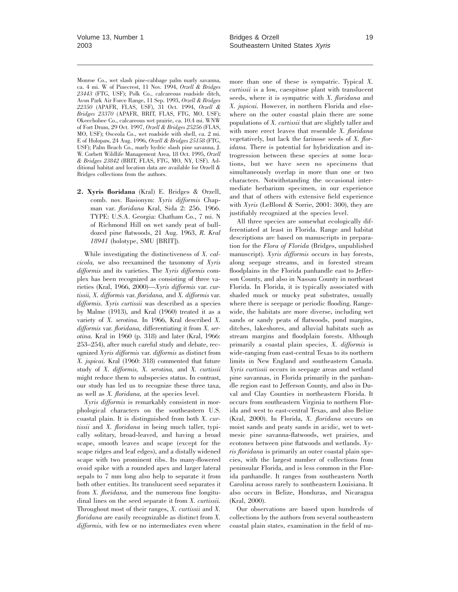Monroe Co., wet slash pine-cabbage palm marly savanna, ca. 4 mi. W of Pinecrest, 11 Nov. 1994, *Orzell & Bridges 23443* (FTG, USF); Polk Co., calcareous roadside ditch, Avon Park Air Force Range, 11 Sep. 1993, *Orzell & Bridges 22350* (APAFR, FLAS, USF), 31 Oct. 1994, *Orzell & Bridges 23370* (APAFR, BRIT, FLAS, FTG, MO, USF); Okeechobee Co., calcareous wet prairie, ca. 10.4 mi. WNW of Fort Drum, 29 Oct. 1997, *Orzell & Bridges 25256* (FLAS, MO, USF); Osceola Co., wet roadside with shell, ca. 2 mi. E of Holopaw, 24 Aug. 1996, *Orzell & Bridges 25158* (FTG, USF); Palm Beach Co., marly hydric slash pine savanna, J. W. Corbett Wildlife Management Area, 18 Oct. 1995, *Orzell & Bridges 23842* (BRIT, FLAS, FTG, MO, NY, USF). Additional habitat and location data are available for Orzell & Bridges collections from the authors.

**2. Xyris floridana** (Kral) E. Bridges & Orzell, comb. nov. Basionym: *Xyris difformis* Chapman var. *floridana* Kral, Sida 2: 256. 1966. TYPE: U.S.A. Georgia: Chatham Co., 7 mi. N of Richmond Hill on wet sandy peat of bulldozed pine flatwoods, 21 Aug. 1963, *R. Kral 18941* (holotype, SMU [BRIT]).

While investigating the distinctiveness of *X. calcicola,* we also reexamined the taxonomy of *Xyris difformis* and its varieties. The *Xyris difformis* complex has been recognized as consisting of three varieties (Kral, 1966, 2000)—*Xyris difformis* var. *curtissii, X. difformis* var. *floridana,* and *X. difformis* var. *difformis. Xyris curtissii* was described as a species by Malme (1913), and Kral (1960) treated it as a variety of *X. serotina.* In 1966, Kral described *X. difformis* var. *floridana,* differentiating it from *X. serotina.* Kral in 1960 (p. 318) and later (Kral, 1966: 253–254), after much careful study and debate, recognized *Xyris difformis* var. *difformis* as distinct from *X. jupicai.* Kral (1960: 318) commented that future study of *X. difformis, X. serotina,* and *X. curtissii* might reduce them to subspecies status. In contrast, our study has led us to recognize these three taxa, as well as *X. floridana,* at the species level.

*Xyris difformis* is remarkably consistent in morphological characters on the southeastern U.S. coastal plain. It is distinguished from both *X. curtissii* and *X. floridana* in being much taller, typically solitary, broad-leaved, and having a broad scape, smooth leaves and scape (except for the scape ridges and leaf edges), and a distally widened scape with two prominent ribs. Its many-flowered ovoid spike with a rounded apex and larger lateral sepals to 7 mm long also help to separate it from both other entities. Its translucent seed separates it from *X. floridana,* and the numerous fine longitudinal lines on the seed separate it from *X. curtissii.* Throughout most of their ranges, *X. curtissii* and *X. floridana* are easily recognizable as distinct from *X. difformis,* with few or no intermediates even where

more than one of these is sympatric. Typical *X. curtissii* is a low, caespitose plant with translucent seeds, where it is sympatric with *X. floridana* and *X. jupicai.* However, in northern Florida and elsewhere on the outer coastal plain there are some populations of *X. curtissii* that are slightly taller and with more erect leaves that resemble *X. floridana* vegetatively, but lack the farinose seeds of *X. floridana.* There is potential for hybridization and introgression between these species at some locations, but we have seen no specimens that simultaneously overlap in more than one or two characters. Notwithstanding the occasional intermediate herbarium specimen, in our experience and that of others with extensive field experience with *Xyris* (LeBlond & Sorrie, 2001: 300), they are justifiably recognized at the species level.

All three species are somewhat ecologically differentiated at least in Florida. Range and habitat descriptions are based on manuscripts in preparation for the *Flora of Florida* (Bridges, unpublished manuscript). *Xyris difformis* occurs in bay forests, along seepage streams, and in forested stream floodplains in the Florida panhandle east to Jefferson County, and also in Nassau County in northeast Florida. In Florida, it is typically associated with shaded muck or mucky peat substrates, usually where there is seepage or periodic flooding. Rangewide, the habitats are more diverse, including wet sands or sandy peats of flatwoods, pond margins, ditches, lakeshores, and alluvial habitats such as stream margins and floodplain forests. Although primarily a coastal plain species, *X. difformis* is wide-ranging from east-central Texas to its northern limits in New England and southeastern Canada. *Xyris curtissii* occurs in seepage areas and wetland pine savannas, in Florida primarily in the panhandle region east to Jefferson County, and also in Duval and Clay Counties in northeastern Florida. It occurs from southeastern Virginia to northern Florida and west to east-central Texas, and also Belize (Kral, 2000). In Florida, *X. floridana* occurs on moist sands and peaty sands in acidic, wet to wetmesic pine savanna-flatwoods, wet prairies, and ecotones between pine flatwoods and wetlands. *Xyris floridana* is primarily an outer coastal plain species, with the largest number of collections from peninsular Florida, and is less common in the Florida panhandle. It ranges from southeastern North Carolina across rarely to southeastern Louisiana. It also occurs in Belize, Honduras, and Nicaragua (Kral, 2000).

Our observations are based upon hundreds of collections by the authors from several southeastern coastal plain states, examination in the field of nu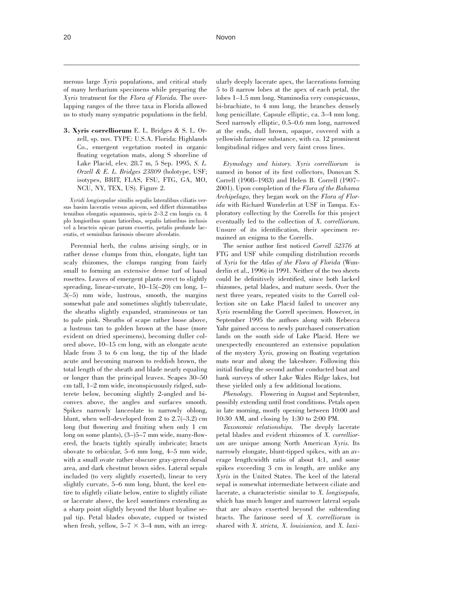merous large *Xyris* populations, and critical study of many herbarium specimens while preparing the *Xyris* treatment for the *Flora of Florida.* The overlapping ranges of the three taxa in Florida allowed us to study many sympatric populations in the field.

**3. Xyris correlliorum** E. L. Bridges & S. L. Orzell, sp. nov. TYPE: U.S.A. Florida: Highlands Co., emergent vegetation rooted in organic floating vegetation mats, along S shoreline of Lake Placid, elev. 28.7 m, 5 Sep. 1995, *S. L. Orzell & E. L. Bridges 23809* (holotype, USF; isotypes, BRIT, FLAS, FSU, FTG, GA, MO, NCU, NY, TEX, US). Figure 2.

*Xyridi longisepalae* similis sepalis lateralibus ciliatis versus basim laceratis versus apicem, sed differt rhizomatibus tenuibus elongatis squamosis, spicis 2–3.2 cm longis ca. 4 plo longioribus quam latioribus, sepalis latioribus inclusis vel a bracteis spicae parum exsertis, petalis profunde laceratis, et seminibus farinosis obscure alveolatis.

Perennial herb, the culms arising singly, or in rather dense clumps from thin, elongate, light tan scaly rhizomes, the clumps ranging from fairly small to forming an extensive dense turf of basal rosettes. Leaves of emergent plants erect to slightly spreading, linear-curvate, 10–15(–20) cm long, 1– 3(–5) mm wide, lustrous, smooth, the margins somewhat pale and sometimes slightly tuberculate, the sheaths slightly expanded, stramineous or tan to pale pink. Sheaths of scape rather loose above, a lustrous tan to golden brown at the base (more evident on dried specimens), becoming duller colored above, 10–15 cm long, with an elongate acute blade from 3 to 6 cm long, the tip of the blade acute and becoming maroon to reddish brown, the total length of the sheath and blade nearly equaling or longer than the principal leaves. Scapes 30–50 cm tall, 1–2 mm wide, inconspicuously ridged, subterete below, becoming slightly 2-angled and biconvex above, the angles and surfaces smooth. Spikes narrowly lanceolate to narrowly oblong, blunt, when well-developed from 2 to 2.7(–3.2) cm long (but flowering and fruiting when only 1 cm long on some plants), (3–)5–7 mm wide, many-flowered, the bracts tightly spirally imbricate; bracts obovate to orbicular, 5–6 mm long, 4–5 mm wide, with a small ovate rather obscure gray-green dorsal area, and dark chestnut brown sides. Lateral sepals included (to very slightly exserted), linear to very slightly curvate, 5–6 mm long, blunt, the keel entire to slightly ciliate below, entire to slightly ciliate or lacerate above, the keel sometimes extending as a sharp point slightly beyond the blunt hyaline sepal tip. Petal blades obovate, cupped or twisted when fresh, yellow,  $5-7 \times 3-4$  mm, with an irreg-

ularly deeply lacerate apex, the lacerations forming 5 to 8 narrow lobes at the apex of each petal, the lobes 1–1.5 mm long. Staminodia very conspicuous, bi-brachiate, to 4 mm long, the branches densely long penicillate. Capsule elliptic, ca. 3–4 mm long. Seed narrowly elliptic, 0.5–0.6 mm long, narrowed at the ends, dull brown, opaque, covered with a yellowish farinose substance, with ca. 12 prominent longitudinal ridges and very faint cross lines.

*Etymology and history. Xyris correlliorum* is named in honor of its first collectors, Donovan S. Correll (1908–1983) and Helen B. Correll (1907– 2001). Upon completion of the *Flora of the Bahama Archipelago,* they began work on the *Flora of Florida* with Richard Wunderlin at USF in Tampa. Exploratory collecting by the Corrells for this project eventually led to the collection of *X. correlliorum.* Unsure of its identification, their specimen remained an enigma to the Corrells.

The senior author first noticed *Correll 52376* at FTG and USF while compiling distribution records of *Xyris* for the *Atlas of the Flora of Florida* (Wunderlin et al., 1996) in 1991. Neither of the two sheets could be definitively identified, since both lacked rhizomes, petal blades, and mature seeds. Over the next three years, repeated visits to the Correll collection site on Lake Placid failed to uncover any *Xyris* resembling the Correll specimen. However, in September 1995 the authors along with Rebecca Yahr gained access to newly purchased conservation lands on the south side of Lake Placid. Here we unexpectedly encountered an extensive population of the mystery *Xyris,* growing on floating vegetation mats near and along the lakeshore. Following this initial finding the second author conducted boat and bank surveys of other Lake Wales Ridge lakes, but these yielded only a few additional locations.

*Phenology.* Flowering in August and September, possibly extending until frost conditions. Petals open in late morning, mostly opening between 10:00 and 10:30 AM, and closing by 1:30 to 2:00 PM.

*Taxonomic relationships.* The deeply lacerate petal blades and evident rhizomes of *X. correlliorum* are unique among North American *Xyris.* Its narrowly elongate, blunt-tipped spikes, with an average length:width ratio of about 4:1, and some spikes exceeding 3 cm in length, are unlike any *Xyris* in the United States. The keel of the lateral sepal is somewhat intermediate between ciliate and lacerate, a characteristic similar to *X. longisepala,* which has much longer and narrower lateral sepals that are always exserted beyond the subtending bracts. The farinose seed of *X. correlliorum* is shared with *X. stricta, X. louisianica,* and *X. laxi-*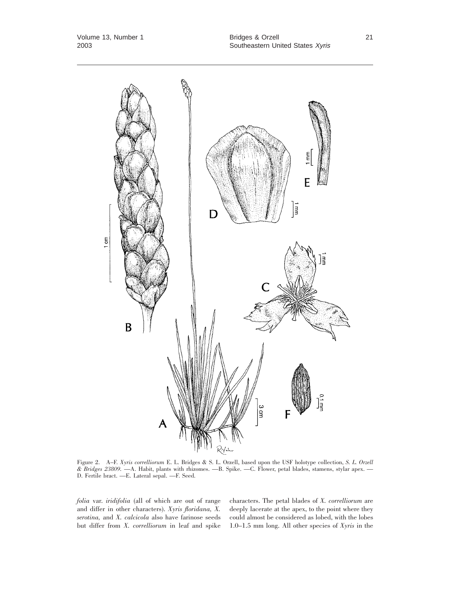

Figure 2. A–F. *Xyris correlliorum* E. L. Bridges & S. L. Orzell, based upon the USF holotype collection, *S. L. Orzell & Bridges 23809.* —A. Habit, plants with rhizomes. —B. Spike. —C. Flower, petal blades, stamens, stylar apex. — D. Fertile bract. —E. Lateral sepal. —F. Seed.

*folia* var. *iridifolia* (all of which are out of range and differ in other characters). *Xyris floridana, X. serotina,* and *X. calcicola* also have farinose seeds but differ from *X. correlliorum* in leaf and spike characters. The petal blades of *X. correlliorum* are deeply lacerate at the apex, to the point where they could almost be considered as lobed, with the lobes 1.0–1.5 mm long. All other species of *Xyris* in the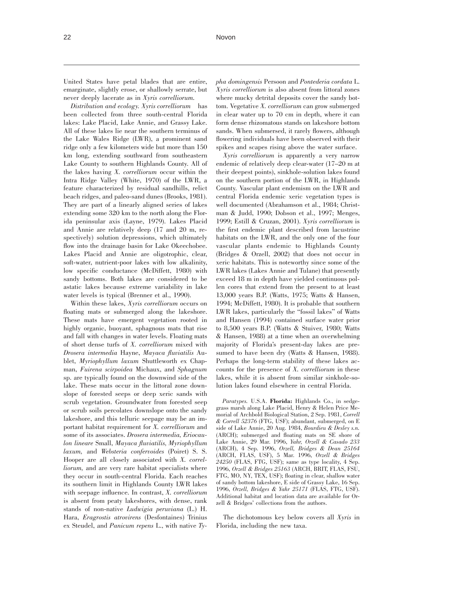United States have petal blades that are entire, emarginate, slightly erose, or shallowly serrate, but never deeply lacerate as in *Xyris correlliorum.*

*Distribution and ecology. Xyris correlliorum* has been collected from three south-central Florida lakes: Lake Placid, Lake Annie, and Grassy Lake. All of these lakes lie near the southern terminus of the Lake Wales Ridge (LWR), a prominent sand ridge only a few kilometers wide but more than 150 km long, extending southward from southeastern Lake County to southern Highlands County. All of the lakes having *X. correlliorum* occur within the Intra Ridge Valley (White, 1970) of the LWR, a feature characterized by residual sandhills, relict beach ridges, and paleo-sand dunes (Brooks, 1981). They are part of a linearly aligned series of lakes extending some 320 km to the north along the Florida peninsular axis (Layne, 1979). Lakes Placid and Annie are relatively deep (17 and 20 m, respectively) solution depressions, which ultimately flow into the drainage basin for Lake Okeechobee. Lakes Placid and Annie are oligotrophic, clear, soft-water, nutrient-poor lakes with low alkalinity, low specific conductance (McDiffett, 1980) with sandy bottoms. Both lakes are considered to be astatic lakes because extreme variability in lake water levels is typical (Brenner et al., 1990).

Within these lakes, *Xyris correlliorum* occurs on floating mats or submerged along the lakeshore. These mats have emergent vegetation rooted in highly organic, buoyant, sphagnous mats that rise and fall with changes in water levels. Floating mats of short dense turfs of *X. correlliorum* mixed with *Drosera intermedia* Hayne, *Mayaca fluviatilis* Aublet, *Myriophyllum laxum* Shuttleworth ex Chapman, *Fuirena scirpoidea* Michaux, and *Sphagnum* sp. are typically found on the downwind side of the lake. These mats occur in the littoral zone downslope of forested seeps or deep xeric sands with scrub vegetation. Groundwater from forested seep or scrub soils percolates downslope onto the sandy lakeshore, and this telluric seepage may be an important habitat requirement for *X. correlliorum* and some of its associates. *Drosera intermedia, Eriocaulon lineare* Small, *Mayaca fluviatilis, Myriophyllum laxum,* and *Websteria confervoides* (Poiret) S. S. Hooper are all closely associated with *X. correlliorum,* and are very rare habitat specialists where they occur in south-central Florida. Each reaches its southern limit in Highlands County LWR lakes with seepage influence. In contrast, *X. correlliorum* is absent from peaty lakeshores, with dense, rank stands of non-native *Ludwigia peruviana* (L.) H. Hara, *Eragrostis atrovirens* (Desfontaines) Trinius ex Steudel, and *Panicum repens* L., with native *Ty-* *pha domingensis* Persoon and *Pontederia cordata* L. *Xyris correlliorum* is also absent from littoral zones where mucky detrital deposits cover the sandy bottom. Vegetative *X. correlliorum* can grow submerged in clear water up to 70 cm in depth, where it can form dense rhizomatous stands on lakeshore bottom sands. When submersed, it rarely flowers, although flowering individuals have been observed with their spikes and scapes rising above the water surface.

*Xyris correlliorum* is apparently a very narrow endemic of relatively deep clear-water (17–20 m at their deepest points), sinkhole-solution lakes found on the southern portion of the LWR, in Highlands County. Vascular plant endemism on the LWR and central Florida endemic xeric vegetation types is well documented (Abrahamson et al., 1984; Christman & Judd, 1990; Dobson et al., 1997; Menges, 1999; Estill & Cruzan, 2001). *Xyris correlliorum* is the first endemic plant described from lacustrine habitats on the LWR, and the only one of the four vascular plants endemic to Highlands County (Bridges & Orzell, 2002) that does not occur in xeric habitats. This is noteworthy since some of the LWR lakes (Lakes Annie and Tulane) that presently exceed 18 m in depth have yielded continuous pollen cores that extend from the present to at least 13,000 years B.P. (Watts, 1975; Watts & Hansen, 1994; McDiffett, 1980). It is probable that southern LWR lakes, particularly the ''fossil lakes'' of Watts and Hansen (1994) contained surface water prior to 8,500 years B.P. (Watts & Stuiver, 1980; Watts & Hansen, 1988) at a time when an overwhelming majority of Florida's present-day lakes are presumed to have been dry (Watts & Hansen, 1988). Perhaps the long-term stability of these lakes accounts for the presence of *X. correlliorum* in these lakes, while it is absent from similar sinkhole-solution lakes found elsewhere in central Florida.

*Paratypes.* U.S.A. **Florida:** Highlands Co., in sedgegrass marsh along Lake Placid, Henry & Helen Price Memorial of Archbold Biological Station, 2 Sep. 1981, *Correll & Correll 52376* (FTG, USF); abundant, submerged, on E side of Lake Annie, 20 Aug. 1984, *Bourdieu & Desley s.n.* (ARCH); submerged and floating mats on SE shore of Lake Annie, 29 Mar. 1996, *Yahr, Orzell & Casado 233* (ARCH), 4 Sep. 1996, *Orzell, Bridges & Dean 25164* (ARCH, FLAS, USF), 5 Mar. 1996, *Orzell & Bridges 24250* (FLAS, FTG, USF); same as type locality, 4 Sep. 1996, *Orzell & Bridges 25163* (ARCH, BRIT, FLAS, FSU, FTG, MO, NY, TEX, USF); floating in clear, shallow water of sandy bottom lakeshore, E side of Grassy Lake, 16 Sep. 1996, *Orzell, Bridges & Yahr 25171* (FLAS, FTG, USF). Additional habitat and location data are available for Orzell & Bridges' collections from the authors.

The dichotomous key below covers all *Xyris* in Florida, including the new taxa.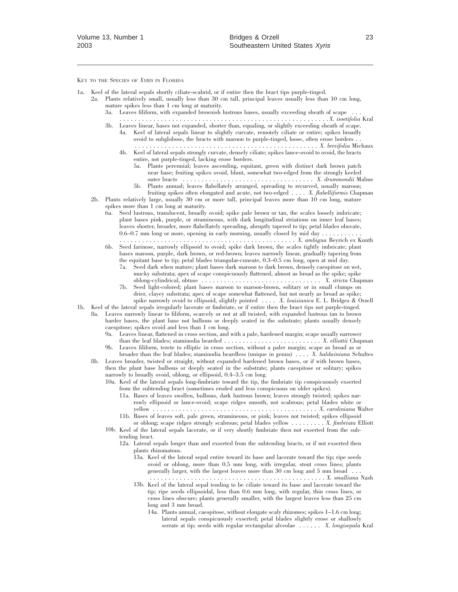KEY TO THE SPECIES OF *XYRIS* IN FLORIDA

- 1a. Keel of the lateral sepals shortly ciliate-scabrid, or if entire then the bract tips purple-tinged.
	- 2a. Plants relatively small, usually less than 30 cm tall, principal leaves usually less than 10 cm long, mature spikes less than 1 cm long at maturity.
		- 3a. Leaves filiform, with expanded brownish lustrous bases, usually exceeding sheath of scape
		- ........................................................ *X. isoetifolia* Kral 3b. Leaves linear, bases not expanded, shorter than, equaling, or slightly exceeding sheath of scape.
		- 4a. Keel of lateral sepals linear to slightly curvate, remotely ciliate or entire; spikes broadly ovoid to subglobose, the bracts with maroon to purple-tinged, loose, often erose borders . . ................................................. *X. brevifolia* Michaux
			- 4b. Keel of lateral sepals strongly curvate, densely ciliate; spikes lance-ovoid to ovoid, the bracts entire, not purple-tinged, lacking erose borders.
				- 5a. Plants perennial; leaves ascending, equitant, green with distinct dark brown patch near base; fruiting spikes ovoid, blunt, somewhat two-edged from the strongly keeled outer bracts ................................... *X. drummondii* Malme
				- 5b. Plants annual; leaves flabellately arranged, spreading to recurved, usually maroon; fruiting spikes often elongated and acute, not two-edged .... *X. flabelliformis* Chapman
	- 2b. Plants relatively large, usually 30 cm or more tall, principal leaves more than 10 cm long, mature spikes more than 1 cm long at maturity.
		- 6a. Seed lustrous, translucent, broadly ovoid; spike pale brown or tan, the scales loosely imbricate; plant bases pink, purple, or stramineous, with dark longitudinal striations on inner leaf bases; leaves shorter, broader, more flabellately spreading, abruptly tapered to tip; petal blades obovate, 0.6–0.7 mm long or more, opening in early morning, usually closed by mid day  $\dots\dots\dots\dots$ ............................................... *X. ambigua* Beyrich ex Kunth
		- 6b. Seed farinose, narrowly ellipsoid to ovoid; spike dark brown, the scales tightly imbricate; plant
		- bases maroon, purple, dark brown, or red-brown; leaves narrowly linear, gradually tapering from the equitant base to tip; petal blades triangular-cuneate, 0.3–0.5 cm long, open at mid day.
			- 7a. Seed dark when mature; plant bases dark maroon to dark brown, densely caespitose on wet, mucky substrata; apex of scape conspicuously flattened, almost as broad as the spike; spike oblong-cylindrical, obtuse ................................ *X. stricta* Chapman
			- 7b. Seed light-colored; plant bases maroon to maroon-brown, solitary or in small clumps on drier, clayey substrata; apex of scape somewhat flattened, but not nearly as broad as spike; spike narrowly ovoid to ellipsoid, slightly pointed .... *X. louisianica* E. L. Bridges & Orzell
- 1b. Keel of the lateral sepals irregularly lacerate or fimbriate, or if entire then the bract tips not purple-tinged. 8a. Leaves narrowly linear to filiform, scarcely or not at all twisted, with expanded lustrous tan to brown
	- harder bases, the plant base not bulbous or deeply seated in the substrate; plants usually densely caespitose; spikes ovoid and less than 1 cm long.
		- 9a. Leaves linear, flattened in cross section, and with a pale, hardened margin; scape usually narrower than the leaf blades; staminodia bearded .......................... *X. elliottii* Chapman 9b. Leaves filiform, terete to elliptic in cross section, without a paler margin; scape as broad as or
	- broader than the leaf blades; staminodia beardless (unique in genus) .... *X. baldwiniana* Schultes 8b. Leaves broader, twisted or straight, without expanded hardened brown bases, or if with brown bases, then the plant base bulbous or deeply seated in the substrate; plants caespitose or solitary; spikes
		- narrowly to broadly ovoid, oblong, or ellipsoid, 0.4–3.5 cm long. 10a. Keel of the lateral sepals long-fimbriate toward the tip, the fimbriate tip conspicuously exserted
			- from the subtending bract (sometimes eroded and less conspicuous on older spikes).
				- 11a. Bases of leaves swollen, bulbous, dark lustrous brown; leaves strongly twisted; spikes narrowly ellipsoid or lance-ovoid; scape ridges smooth, not scabrous; petal blades white or yellow ............................................ *X. caroliniana* Walter 11b. Bases of leaves soft, pale green, stramineous, or pink; leaves not twisted; spikes ellipsoid
			- or oblong; scape ridges strongly scabrous; petal blades yellow ......... *X. fimbriata* Elliott
			- 10b. Keel of the lateral sepals lacerate, or if very shortly fimbriate then not exserted from the subtending bract.
				- 12a. Lateral sepals longer than and exserted from the subtending bracts, or if not exserted then plants rhizomatous.
					- 13a. Keel of the lateral sepal entire toward its base and lacerate toward the tip; ripe seeds ovoid or oblong, more than 0.5 mm long, with irregular, stout cross lines; plants generally larger, with the largest leaves more than 30 cm long and 5 mm broad ... ............................................... *X. smalliana* Nash
					- 13b. Keel of the lateral sepal tending to be ciliate toward its base and lacerate toward the tip; ripe seeds ellipsoidal, less than 0.6 mm long, with regular, thin cross lines, or cross lines obscure; plants generally smaller, with the largest leaves less than 25 cm long and 3 mm broad.
						- 14a. Plants annual, caespitose, without elongate scaly rhizomes; spikes 1–1.6 cm long; lateral sepals conspicuously exserted; petal blades slightly erose or shallowly serrate at tip; seeds with regular rectangular alveolae ...... *X. longisepala* Kral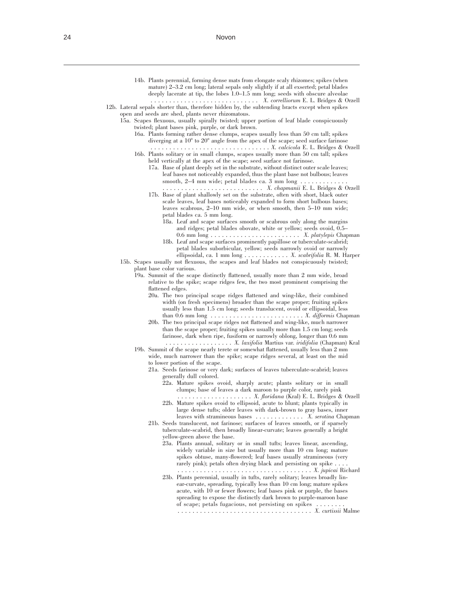14b. Plants perennial, forming dense mats from elongate scaly rhizomes; spikes (when mature) 2–3.2 cm long; lateral sepals only slightly if at all exserted; petal blades deeply lacerate at tip, the lobes 1.0–1.5 mm long; seeds with obscure alveolae ............................. *X. correlliorum* E. L. Bridges & Orzell 12b. Lateral sepals shorter than, therefore hidden by, the subtending bracts except when spikes open and seeds are shed, plants never rhizomatous. 15a. Scapes flexuous, usually spirally twisted; upper portion of leaf blade conspicuously twisted; plant bases pink, purple, or dark brown. 16a. Plants forming rather dense clumps, scapes usually less than 50 cm tall; spikes diverging at a  $10^{\circ}$  to  $20^{\circ}$  angle from the apex of the scape; seed surface farinose ................................ *X. calcicola* E. L. Bridges & Orzell 16b. Plants solitary or in small clumps, scapes usually more than 50 cm tall; spikes held vertically at the apex of the scape; seed surface not farinose. 17a. Base of plant deeply set in the substrate, without distinct outer scale leaves; leaf bases not noticeably expanded, thus the plant base not bulbous; leaves smooth, 2–4 mm wide; petal blades ca. 3 mm long ........... ........................... *X. chapmanii* E. L. Bridges & Orzell 17b. Base of plant shallowly set on the substrate, often with short, black outer scale leaves, leaf bases noticeably expanded to form short bulbous bases; leaves scabrous, 2–10 mm wide, or when smooth, then 5–10 mm wide; petal blades ca. 5 mm long. 18a. Leaf and scape surfaces smooth or scabrous only along the margins and ridges; petal blades obovate, white or yellow; seeds ovoid, 0.5– 0.6 mm long ........................ *X. platylepis* Chapman 18b. Leaf and scape surfaces prominently papillose or tuberculate-scabrid; petal blades suborbicular, yellow; seeds narrowly ovoid or narrowly ellipsoidal, ca. 1 mm long ............ *X. scabrifolia* R. M. Harper 15b. Scapes usually not flexuous, the scapes and leaf blades not conspicuously twisted; plant base color various. 19a. Summit of the scape distinctly flattened, usually more than 2 mm wide, broad relative to the spike; scape ridges few, the two most prominent comprising the flattened edges. 20a. The two principal scape ridges flattened and wing-like, their combined

- width (on fresh specimens) broader than the scape proper; fruiting spikes usually less than 1.5 cm long; seeds translucent, ovoid or ellipsoidal, less than 0.6 mm long ......................... *X. difformis* Chapman
- 20b. The two principal scape ridges not flattened and wing-like, much narrower than the scape proper; fruiting spikes usually more than 1.5 cm long; seeds farinose, dark when ripe, fusiform or narrowly oblong, longer than 0.6 mm .................. *X. laxifolia* Martius var. *iridifolia* (Chapman) Kral
- 19b. Summit of the scape nearly terete or somewhat flattened, usually less than 2 mm wide, much narrower than the spike; scape ridges several, at least on the mid to lower portion of the scape.
	- 21a. Seeds farinose or very dark; surfaces of leaves tuberculate-scabrid; leaves generally dull colored.
		- 22a. Mature spikes ovoid, sharply acute; plants solitary or in small clumps; base of leaves a dark maroon to purple color, rarely pink .................... *X. floridana* (Kral) E. L. Bridges & Orzell
		- 22b. Mature spikes ovoid to ellipsoid, acute to blunt; plants typically in large dense tufts; older leaves with dark-brown to gray bases, inner leaves with stramineous bases ............. *X. serotina* Chapman
	- 21b. Seeds translucent, not farinose; surfaces of leaves smooth, or if sparsely tuberculate-scabrid, then broadly linear-curvate; leaves generally a bright yellow-green above the base.
		- 23a. Plants annual, solitary or in small tufts; leaves linear, ascending, widely variable in size but usually more than 10 cm long; mature spikes obtuse, many-flowered; leaf bases usually stramineous (very rarely pink); petals often drying black and persisting on spike . . .................................... *X. jupicai* Richard
		- 23b. Plants perennial, usually in tufts, rarely solitary; leaves broadly linear-curvate, spreading, typically less than 10 cm long; mature spikes acute, with 10 or fewer flowers; leaf bases pink or purple, the bases spreading to expose the distinctly dark brown to purple-maroon base of scape; petals fugacious, not persisting on spikes ........

.................................... *X. curtissii* Malme